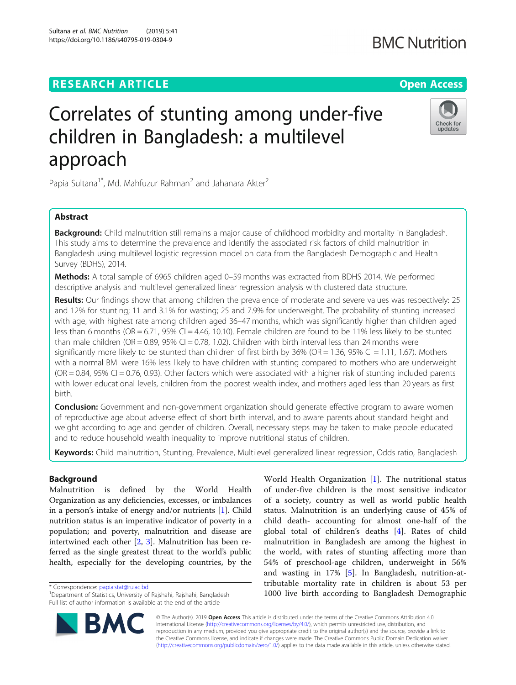# **RESEARCH ARTICLE Example 2018 12:30 THE Open Access**

# Correlates of stunting among under-five children in Bangladesh: a multilevel

Papia Sultana<sup>1\*</sup>, Md. Mahfuzur Rahman<sup>2</sup> and Jahanara Akter<sup>2</sup>

# Abstract

approach

Background: Child malnutrition still remains a major cause of childhood morbidity and mortality in Bangladesh. This study aims to determine the prevalence and identify the associated risk factors of child malnutrition in Bangladesh using multilevel logistic regression model on data from the Bangladesh Demographic and Health Survey (BDHS), 2014.

Methods: A total sample of 6965 children aged 0-59 months was extracted from BDHS 2014. We performed descriptive analysis and multilevel generalized linear regression analysis with clustered data structure.

Results: Our findings show that among children the prevalence of moderate and severe values was respectively: 25 and 12% for stunting; 11 and 3.1% for wasting; 25 and 7.9% for underweight. The probability of stunting increased with age, with highest rate among children aged 36–47 months, which was significantly higher than children aged less than 6 months (OR = 6.71, 95% CI = 4.46, 10.10). Female children are found to be 11% less likely to be stunted than male children (OR = 0.89, 95% CI = 0.78, 1.02). Children with birth interval less than 24 months were significantly more likely to be stunted than children of first birth by  $36\%$  (OR = 1.36,  $95\%$  CI = 1.11, 1.67). Mothers with a normal BMI were 16% less likely to have children with stunting compared to mothers who are underweight  $(OR = 0.84, 95\% \text{ CI} = 0.76, 0.93)$ . Other factors which were associated with a higher risk of stunting included parents with lower educational levels, children from the poorest wealth index, and mothers aged less than 20 years as first birth.

**Conclusion:** Government and non-government organization should generate effective program to aware women of reproductive age about adverse effect of short birth interval, and to aware parents about standard height and weight according to age and gender of children. Overall, necessary steps may be taken to make people educated and to reduce household wealth inequality to improve nutritional status of children.

Keywords: Child malnutrition, Stunting, Prevalence, Multilevel generalized linear regression, Odds ratio, Bangladesh

# Background

Malnutrition is defined by the World Health Organization as any deficiencies, excesses, or imbalances in a person's intake of energy and/or nutrients [[1\]](#page-10-0). Child nutrition status is an imperative indicator of poverty in a population; and poverty, malnutrition and disease are intertwined each other [[2,](#page-10-0) [3\]](#page-10-0). Malnutrition has been referred as the single greatest threat to the world's public health, especially for the developing countries, by the

\* Correspondence: [papia.stat@ru.ac.bd](mailto:papia.stat@ru.ac.bd) <sup>1</sup>

© The Author(s). 2019 **Open Access** This article is distributed under the terms of the Creative Commons Attribution 4.0 International License [\(http://creativecommons.org/licenses/by/4.0/](http://creativecommons.org/licenses/by/4.0/)), which permits unrestricted use, distribution, and reproduction in any medium, provided you give appropriate credit to the original author(s) and the source, provide a link to the Creative Commons license, and indicate if changes were made. The Creative Commons Public Domain Dedication waiver [\(http://creativecommons.org/publicdomain/zero/1.0/](http://creativecommons.org/publicdomain/zero/1.0/)) applies to the data made available in this article, unless otherwise stated.

World Health Organization [\[1](#page-10-0)]. The nutritional status of under-five children is the most sensitive indicator of a society, country as well as world public health status. Malnutrition is an underlying cause of 45% of child death- accounting for almost one-half of the global total of children's deaths [[4](#page-10-0)]. Rates of child malnutrition in Bangladesh are among the highest in the world, with rates of stunting affecting more than 54% of preschool-age children, underweight in 56% and wasting in 17% [[5\]](#page-10-0). In Bangladesh, nutrition-attributable mortality rate in children is about 53 per 1000 live birth according to Bangladesh Demographic

**BMC Nutrition** 



Check for updates



<sup>&</sup>lt;sup>1</sup>Department of Statistics, University of Rajshahi, Rajshahi, Bangladesh Full list of author information is available at the end of the article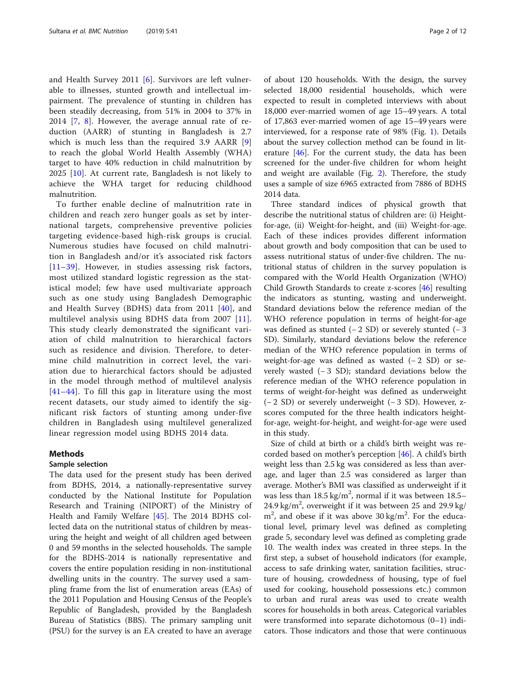and Health Survey 2011 [[6](#page-10-0)]. Survivors are left vulnerable to illnesses, stunted growth and intellectual impairment. The prevalence of stunting in children has been steadily decreasing, from 51% in 2004 to 37% in 2014 [[7](#page-10-0), [8](#page-10-0)]. However, the average annual rate of reduction (AARR) of stunting in Bangladesh is 2.7 which is much less than the required 3.9 AARR [\[9](#page-10-0)] to reach the global World Health Assembly (WHA) target to have 40% reduction in child malnutrition by 2025 [\[10](#page-10-0)]. At current rate, Bangladesh is not likely to achieve the WHA target for reducing childhood malnutrition.

To further enable decline of malnutrition rate in children and reach zero hunger goals as set by international targets, comprehensive preventive policies targeting evidence-based high-risk groups is crucial. Numerous studies have focused on child malnutrition in Bangladesh and/or it's associated risk factors [[11](#page-10-0)–[39\]](#page-10-0). However, in studies assessing risk factors, most utilized standard logistic regression as the statistical model; few have used multivariate approach such as one study using Bangladesh Demographic and Health Survey (BDHS) data from 2011 [[40](#page-10-0)], and multilevel analysis using BDHS data from 2007 [[11](#page-10-0)]. This study clearly demonstrated the significant variation of child malnutrition to hierarchical factors such as residence and division. Therefore, to determine child malnutrition in correct level, the variation due to hierarchical factors should be adjusted in the model through method of multilevel analysis [[41](#page-10-0)–[44\]](#page-10-0). To fill this gap in literature using the most recent datasets, our study aimed to identify the significant risk factors of stunting among under-five children in Bangladesh using multilevel generalized linear regression model using BDHS 2014 data.

#### Methods

# Sample selection

The data used for the present study has been derived from BDHS, 2014, a nationally-representative survey conducted by the National Institute for Population Research and Training (NIPORT) of the Ministry of Health and Family Welfare [[45\]](#page-11-0). The 2014 BDHS collected data on the nutritional status of children by measuring the height and weight of all children aged between 0 and 59 months in the selected households. The sample for the BDHS-2014 is nationally representative and covers the entire population residing in non-institutional dwelling units in the country. The survey used a sampling frame from the list of enumeration areas (EAs) of the 2011 Population and Housing Census of the People's Republic of Bangladesh, provided by the Bangladesh Bureau of Statistics (BBS). The primary sampling unit (PSU) for the survey is an EA created to have an average of about 120 households. With the design, the survey selected 18,000 residential households, which were expected to result in completed interviews with about 18,000 ever-married women of age 15–49 years. A total of 17,863 ever-married women of age 15–49 years were interviewed, for a response rate of 98% (Fig. [1](#page-2-0)). Details about the survey collection method can be found in literature [[46](#page-11-0)]. For the current study, the data has been screened for the under-five children for whom height and weight are available (Fig. [2](#page-3-0)). Therefore, the study uses a sample of size 6965 extracted from 7886 of BDHS 2014 data.

Three standard indices of physical growth that describe the nutritional status of children are: (i) Heightfor-age, (ii) Weight-for-height, and (iii) Weight-for-age. Each of these indices provides different information about growth and body composition that can be used to assess nutritional status of under-five children. The nutritional status of children in the survey population is compared with the World Health Organization (WHO) Child Growth Standards to create z-scores [[46\]](#page-11-0) resulting the indicators as stunting, wasting and underweight. Standard deviations below the reference median of the WHO reference population in terms of height-for-age was defined as stunted  $(-2 SD)$  or severely stunted  $(-3)$ SD). Similarly, standard deviations below the reference median of the WHO reference population in terms of weight-for-age was defined as wasted (−2 SD) or severely wasted (− 3 SD); standard deviations below the reference median of the WHO reference population in terms of weight-for-height was defined as underweight (− 2 SD) or severely underweight (− 3 SD). However, zscores computed for the three health indicators heightfor-age, weight-for-height, and weight-for-age were used in this study.

Size of child at birth or a child's birth weight was recorded based on mother's perception [[46\]](#page-11-0). A child's birth weight less than 2.5 kg was considered as less than average, and lager than 2.5 was considered as larger than average. Mother's BMI was classified as underweight if it was less than  $18.5 \text{ kg/m}^2$ , normal if it was between  $18.5-$ 24.9 kg/m<sup>2</sup>, overweight if it was between 25 and 29.9 kg/  $m<sup>2</sup>$ , and obese if it was above 30 kg/m<sup>2</sup>. For the educational level, primary level was defined as completing grade 5, secondary level was defined as completing grade 10. The wealth index was created in three steps. In the first step, a subset of household indicators (for example, access to safe drinking water, sanitation facilities, structure of housing, crowdedness of housing, type of fuel used for cooking, household possessions etc.) common to urban and rural areas was used to create wealth scores for households in both areas. Categorical variables were transformed into separate dichotomous (0–1) indicators. Those indicators and those that were continuous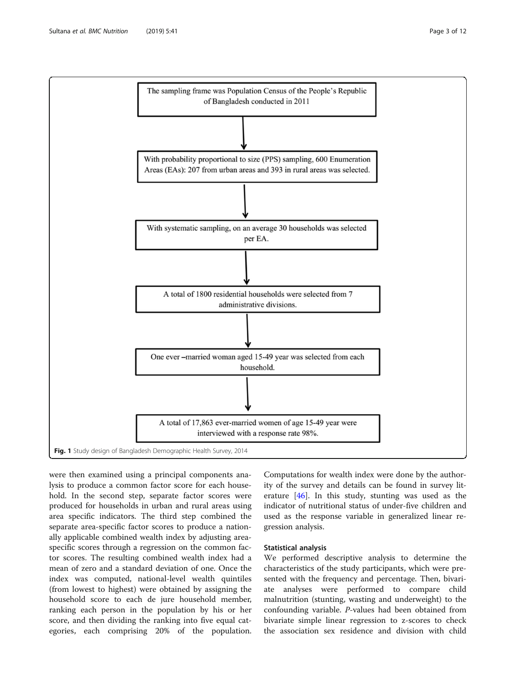<span id="page-2-0"></span>

were then examined using a principal components analysis to produce a common factor score for each household. In the second step, separate factor scores were produced for households in urban and rural areas using area specific indicators. The third step combined the separate area-specific factor scores to produce a nationally applicable combined wealth index by adjusting areaspecific scores through a regression on the common factor scores. The resulting combined wealth index had a mean of zero and a standard deviation of one. Once the index was computed, national-level wealth quintiles (from lowest to highest) were obtained by assigning the household score to each de jure household member, ranking each person in the population by his or her score, and then dividing the ranking into five equal categories, each comprising 20% of the population.

Computations for wealth index were done by the authority of the survey and details can be found in survey literature [[46](#page-11-0)]. In this study, stunting was used as the indicator of nutritional status of under-five children and used as the response variable in generalized linear regression analysis.

# Statistical analysis

We performed descriptive analysis to determine the characteristics of the study participants, which were presented with the frequency and percentage. Then, bivariate analyses were performed to compare child malnutrition (stunting, wasting and underweight) to the confounding variable. P-values had been obtained from bivariate simple linear regression to z-scores to check the association sex residence and division with child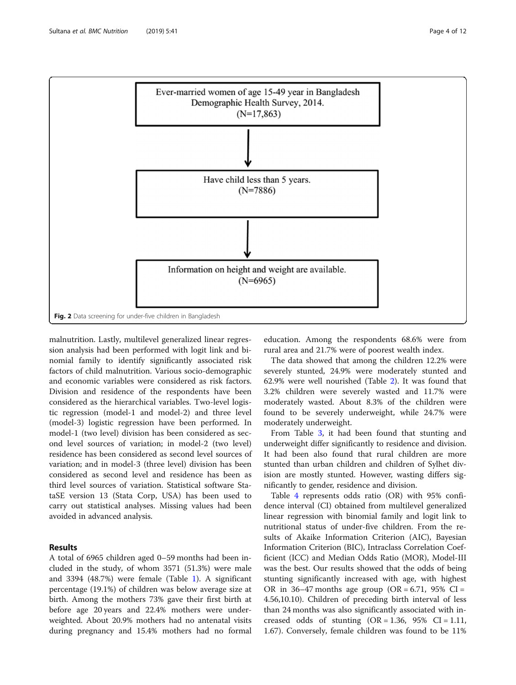

<span id="page-3-0"></span>

malnutrition. Lastly, multilevel generalized linear regression analysis had been performed with logit link and binomial family to identify significantly associated risk factors of child malnutrition. Various socio-demographic and economic variables were considered as risk factors. Division and residence of the respondents have been considered as the hierarchical variables. Two-level logistic regression (model-1 and model-2) and three level (model-3) logistic regression have been performed. In model-1 (two level) division has been considered as second level sources of variation; in model-2 (two level) residence has been considered as second level sources of variation; and in model-3 (three level) division has been considered as second level and residence has been as third level sources of variation. Statistical software StataSE version 13 (Stata Corp, USA) has been used to carry out statistical analyses. Missing values had been avoided in advanced analysis.

# Results

A total of 6965 children aged 0–59 months had been included in the study, of whom 3571 (51.3%) were male and 3394 (48.7%) were female (Table [1\)](#page-4-0). A significant percentage (19.1%) of children was below average size at birth. Among the mothers 73% gave their first birth at before age 20 years and 22.4% mothers were underweighted. About 20.9% mothers had no antenatal visits during pregnancy and 15.4% mothers had no formal

education. Among the respondents 68.6% were from rural area and 21.7% were of poorest wealth index.

The data showed that among the children 12.2% were severely stunted, 24.9% were moderately stunted and 62.9% were well nourished (Table [2](#page-5-0)). It was found that 3.2% children were severely wasted and 11.7% were moderately wasted. About 8.3% of the children were found to be severely underweight, while 24.7% were moderately underweight.

From Table [3](#page-6-0), it had been found that stunting and underweight differ significantly to residence and division. It had been also found that rural children are more stunted than urban children and children of Sylhet division are mostly stunted. However, wasting differs significantly to gender, residence and division.

Table [4](#page-7-0) represents odds ratio (OR) with 95% confidence interval (CI) obtained from multilevel generalized linear regression with binomial family and logit link to nutritional status of under-five children. From the results of Akaike Information Criterion (AIC), Bayesian Information Criterion (BIC), Intraclass Correlation Coefficient (ICC) and Median Odds Ratio (MOR), Model-III was the best. Our results showed that the odds of being stunting significantly increased with age, with highest OR in 36–47 months age group (OR =  $6.71$ , 95% CI = 4.56,10.10). Children of preceding birth interval of less than 24 months was also significantly associated with increased odds of stunting  $(OR = 1.36, 95\% \text{ CI} = 1.11,$ 1.67). Conversely, female children was found to be 11%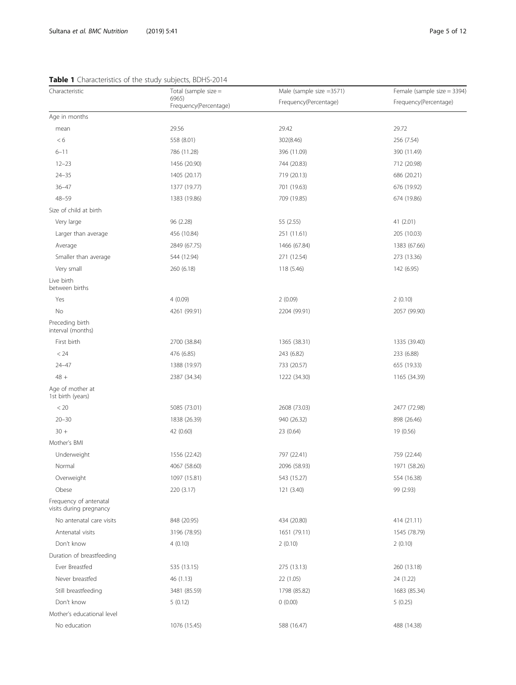# <span id="page-4-0"></span>Table 1 Characteristics of the study subjects, BDHS-2014

| Characteristic                                    | Total (sample size $=$         | Male (sample size =3571) | Female (sample size $=$ 3394) |
|---------------------------------------------------|--------------------------------|--------------------------|-------------------------------|
|                                                   | 6965)<br>Frequency(Percentage) | Frequency(Percentage)    | Frequency(Percentage)         |
| Age in months                                     |                                |                          |                               |
| mean                                              | 29.56                          | 29.42                    | 29.72                         |
| < 6                                               | 558 (8.01)                     | 302(8.46)                | 256 (7.54)                    |
| $6 - 11$                                          | 786 (11.28)                    | 396 (11.09)              | 390 (11.49)                   |
| $12 - 23$                                         | 1456 (20.90)                   | 744 (20.83)              | 712 (20.98)                   |
| $24 - 35$                                         | 1405 (20.17)                   | 719 (20.13)              | 686 (20.21)                   |
| $36 - 47$                                         | 1377 (19.77)                   | 701 (19.63)              | 676 (19.92)                   |
| $48 - 59$                                         | 1383 (19.86)                   | 709 (19.85)              | 674 (19.86)                   |
| Size of child at birth                            |                                |                          |                               |
| Very large                                        | 96 (2.28)                      | 55 (2.55)                | 41 (2.01)                     |
| Larger than average                               | 456 (10.84)                    | 251 (11.61)              | 205 (10.03)                   |
| Average                                           | 2849 (67.75)                   | 1466 (67.84)             | 1383 (67.66)                  |
| Smaller than average                              | 544 (12.94)                    | 271 (12.54)              | 273 (13.36)                   |
| Very small                                        | 260 (6.18)                     | 118 (5.46)               | 142 (6.95)                    |
| Live birth<br>between births                      |                                |                          |                               |
| Yes                                               | 4(0.09)                        | 2(0.09)                  | 2(0.10)                       |
| No                                                | 4261 (99.91)                   | 2204 (99.91)             | 2057 (99.90)                  |
| Preceding birth<br>interval (months)              |                                |                          |                               |
| First birth                                       | 2700 (38.84)                   | 1365 (38.31)             | 1335 (39.40)                  |
| < 24                                              | 476 (6.85)                     | 243 (6.82)               | 233 (6.88)                    |
| $24 - 47$                                         | 1388 (19.97)                   | 733 (20.57)              | 655 (19.33)                   |
| $48 +$                                            | 2387 (34.34)                   | 1222 (34.30)             | 1165 (34.39)                  |
| Age of mother at<br>1st birth (years)             |                                |                          |                               |
| < 20                                              | 5085 (73.01)                   | 2608 (73.03)             | 2477 (72.98)                  |
| $20 - 30$                                         | 1838 (26.39)                   | 940 (26.32)              | 898 (26.46)                   |
| $30 +$                                            | 42 (0.60)                      | 23 (0.64)                | 19 (0.56)                     |
| Mother's BMI                                      |                                |                          |                               |
| Underweight                                       | 1556 (22.42)                   | 797 (22.41)              | 759 (22.44)                   |
| Normal                                            | 4067 (58.60)                   | 2096 (58.93)             | 1971 (58.26)                  |
| Overweight                                        | 1097 (15.81)                   | 543 (15.27)              | 554 (16.38)                   |
| Obese                                             | 220 (3.17)                     | 121 (3.40)               | 99 (2.93)                     |
| Frequency of antenatal<br>visits during pregnancy |                                |                          |                               |
| No antenatal care visits                          | 848 (20.95)                    | 434 (20.80)              | 414 (21.11)                   |
| Antenatal visits                                  | 3196 (78.95)                   | 1651 (79.11)             | 1545 (78.79)                  |
| Don't know                                        | 4(0.10)                        | 2(0.10)                  | 2(0.10)                       |
| Duration of breastfeeding                         |                                |                          |                               |
| Ever Breastfed                                    | 535 (13.15)                    | 275 (13.13)              | 260 (13.18)                   |
| Never breastfed                                   | 46 (1.13)                      | 22 (1.05)                | 24 (1.22)                     |
| Still breastfeeding                               | 3481 (85.59)                   | 1798 (85.82)             | 1683 (85.34)                  |
| Don't know                                        | 5(0.12)                        | 0(0.00)                  | 5(0.25)                       |
| Mother's educational level                        |                                |                          |                               |
| No education                                      | 1076 (15.45)                   | 588 (16.47)              | 488 (14.38)                   |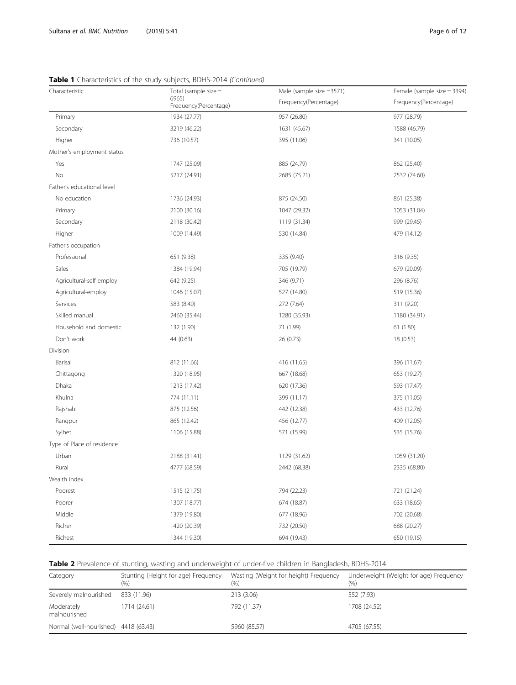<span id="page-5-0"></span>

|  | Table 1 Characteristics of the study subjects, BDHS-2014 (Continued) |  |  |  |
|--|----------------------------------------------------------------------|--|--|--|
|  |                                                                      |  |  |  |

| Characteristic             | Total (sample size $=$         | Male (sample size =3571) | Female (sample size = 3394) |
|----------------------------|--------------------------------|--------------------------|-----------------------------|
|                            | 6965)<br>Frequency(Percentage) | Frequency(Percentage)    | Frequency(Percentage)       |
| Primary                    | 1934 (27.77)                   | 957 (26.80)              | 977 (28.79)                 |
| Secondary                  | 3219 (46.22)                   | 1631 (45.67)             | 1588 (46.79)                |
| Higher                     | 736 (10.57)                    | 395 (11.06)              | 341 (10.05)                 |
| Mother's employment status |                                |                          |                             |
| Yes                        | 1747 (25.09)                   | 885 (24.79)              | 862 (25.40)                 |
| No                         | 5217 (74.91)                   | 2685 (75.21)             | 2532 (74.60)                |
| Father's educational level |                                |                          |                             |
| No education               | 1736 (24.93)                   | 875 (24.50)              | 861 (25.38)                 |
| Primary                    | 2100 (30.16)                   | 1047 (29.32)             | 1053 (31.04)                |
| Secondary                  | 2118 (30.42)                   | 1119 (31.34)             | 999 (29.45)                 |
| Higher                     | 1009 (14.49)                   | 530 (14.84)              | 479 (14.12)                 |
| Father's occupation        |                                |                          |                             |
| Professional               | 651 (9.38)                     | 335 (9.40)               | 316 (9.35)                  |
| Sales                      | 1384 (19.94)                   | 705 (19.79)              | 679 (20.09)                 |
| Agricultural-self employ   | 642 (9.25)                     | 346 (9.71)               | 296 (8.76)                  |
| Agricultural-employ        | 1046 (15.07)                   | 527 (14.80)              | 519 (15.36)                 |
| Services                   | 583 (8.40)                     | 272 (7.64)               | 311 (9.20)                  |
| Skilled manual             | 2460 (35.44)                   | 1280 (35.93)             | 1180 (34.91)                |
| Household and domestic     | 132 (1.90)                     | 71 (1.99)                | 61 (1.80)                   |
| Don't work                 | 44 (0.63)                      | 26 (0.73)                | 18 (0.53)                   |
| Division                   |                                |                          |                             |
| Barisal                    | 812 (11.66)                    | 416 (11.65)              | 396 (11.67)                 |
| Chittagong                 | 1320 (18.95)                   | 667 (18.68)              | 653 (19.27)                 |
| Dhaka                      | 1213 (17.42)                   | 620 (17.36)              | 593 (17.47)                 |
| Khulna                     | 774 (11.11)                    | 399 (11.17)              | 375 (11.05)                 |
| Rajshahi                   | 875 (12.56)                    | 442 (12.38)              | 433 (12.76)                 |
| Rangpur                    | 865 (12.42)                    | 456 (12.77)              | 409 (12.05)                 |
| Sylhet                     | 1106 (15.88)                   | 571 (15.99)              | 535 (15.76)                 |
| Type of Place of residence |                                |                          |                             |
| Urban                      | 2188 (31.41)                   | 1129 (31.62)             | 1059 (31.20)                |
| Rural                      | 4777 (68.59)                   | 2442 (68.38)             | 2335 (68.80)                |
| Wealth index               |                                |                          |                             |
| Poorest                    | 1515 (21.75)                   | 794 (22.23)              | 721 (21.24)                 |
| Poorer                     | 1307 (18.77)                   | 674 (18.87)              | 633 (18.65)                 |
| Middle                     | 1379 (19.80)                   | 677 (18.96)              | 702 (20.68)                 |
| Richer                     | 1420 (20.39)                   | 732 (20.50)              | 688 (20.27)                 |
| Richest                    | 1344 (19.30)                   | 694 (19.43)              | 650 (19.15)                 |

Table 2 Prevalence of stunting, wasting and underweight of under-five children in Bangladesh, BDHS-2014

| Category                             | Stunting (Height for age) Frequency<br>(96) | Wasting (Weight for height) Frequency<br>(% ) | Underweight (Weight for age) Frequency<br>(%) |
|--------------------------------------|---------------------------------------------|-----------------------------------------------|-----------------------------------------------|
| Severely malnourished                | 833 (11.96)                                 | 213 (3.06)                                    | 552 (7.93)                                    |
| Moderately<br>malnourished           | 1714 (24.61)                                | 792 (11.37)                                   | 1708 (24.52)                                  |
| Normal (well-nourished) 4418 (63.43) |                                             | 5960 (85.57)                                  | 4705 (67.55)                                  |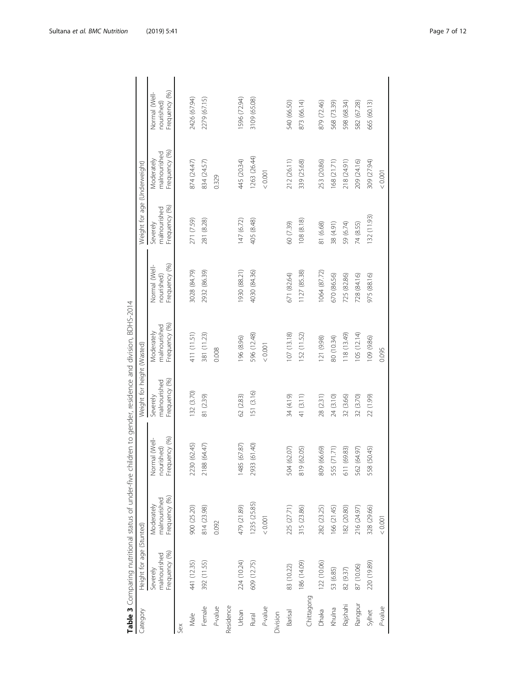<span id="page-6-0"></span>

|            |                                           |                                             | Table 3 Comparing nutritional status of under-five children to gender, residence and division, BDHS-2014 |                                           |                                             |                                              |                                           |                                             |                                              |
|------------|-------------------------------------------|---------------------------------------------|----------------------------------------------------------------------------------------------------------|-------------------------------------------|---------------------------------------------|----------------------------------------------|-------------------------------------------|---------------------------------------------|----------------------------------------------|
| Category   | Height for age (Stunted)                  |                                             |                                                                                                          | Weight for height (Wasted)                |                                             |                                              | Weight for age (Underweight)              |                                             |                                              |
|            | Frequency (%)<br>malnourished<br>Severely | Frequency (%)<br>malnourished<br>Moderately | Frequency (%)<br>Normal (Well-<br>nourished)                                                             | Frequency (%)<br>malnourished<br>Severely | Frequency (%)<br>malnourished<br>Moderately | Frequency (%)<br>Normal (Well-<br>nourished) | Frequency (%)<br>malnourished<br>Severely | Frequency (%)<br>malnourished<br>Moderately | Frequency (%)<br>Normal (Well-<br>nourished) |
| Sex        |                                           |                                             |                                                                                                          |                                           |                                             |                                              |                                           |                                             |                                              |
| Male       | 441 (12.35)                               | 900 (25.20)                                 | (62.45)<br>2230                                                                                          | 132 (3.70)                                | 411 (11.51)                                 | 3028 (84.79)                                 | 271 (7.59)                                | 874 (24.47)                                 | 2426 (67.94)                                 |
| Female     | 392 (11.55)                               | 814 (23.98)                                 | (64.47)<br>2188                                                                                          | 81 (2.39)                                 | 381 (11.23)                                 | 2932 (86.39)                                 | 281 (8.28)                                | 834 (24.57)                                 | 2279 (67.15)                                 |
| P-value    |                                           | 0.092                                       |                                                                                                          |                                           | 0.008                                       |                                              |                                           | 0.329                                       |                                              |
| Residence  |                                           |                                             |                                                                                                          |                                           |                                             |                                              |                                           |                                             |                                              |
| Urban      | 224 (10.24)                               | 479 (21.89)                                 | (67.87)<br>1485                                                                                          | 62 (2.83)                                 | 196 (8.96)                                  | 1930 (88.21)                                 | 147 (6.72)                                | 445 (20.34)                                 | 1596 (72.94)                                 |
| Rural      | 609 (12.75)                               | 1235 (25.85)                                | (61.40)<br>2933                                                                                          | 151 (3.16)                                | 596 (12.48)                                 | 4030 (84.36)                                 | 405 (8.48)                                | 1263 (26.44)                                | 3109 (65.08)                                 |
| P-value    |                                           | 0.001                                       |                                                                                                          |                                           | < 0.001                                     |                                              |                                           | < 0.001                                     |                                              |
| Division   |                                           |                                             |                                                                                                          |                                           |                                             |                                              |                                           |                                             |                                              |
| Barisal    | 83 (10.22)                                | 225 (27.71)                                 | (62.07)<br>504                                                                                           | 34 (4.19)                                 | 107 (13.18)                                 | 671 (82.64)                                  | 60 (7.39)                                 | 212 (26.11)                                 | 540 (66.50)                                  |
| Chittagong | 186 (14.09)                               | 315 (23.86)                                 | (62.05)<br>819                                                                                           | 41 (3.11)                                 | 152 (11.52)                                 | 1127 (85.38)                                 | 108(8.18)                                 | 339 (25.68)                                 | 873 (66.14)                                  |
| Dhaka      | 122 (10.06)                               | 282 (23.25)                                 | (66.69)<br>809                                                                                           | 28 (2.31)                                 | 121 (9.98)                                  | 1064 (87.72)                                 | 81 (6.68)                                 | 253 (20.86)                                 | 879 (72.46)                                  |
| Khulna     | 53 (6.85)                                 | 166 (21.45)                                 | (71.71)<br>555                                                                                           | 24 (3.10)                                 | 80 (10.34)                                  | 670 (86.56)                                  | 38 (4.91)                                 | 168 (21.71)                                 | 568 (73.39)                                  |
| Rajshahi   | 82 (9.37)                                 | 182 (20.80)                                 | (69.83)<br>$\overline{51}$                                                                               | 32 (3.66)                                 | 118 (13.49)                                 | 725 (82.86)                                  | 59 (6.74)                                 | 218 (24.91)                                 | 598 (68.34)                                  |
| Rangpur    | 87 (10.06)                                | 216 (24.97)                                 | (64.97)<br>562                                                                                           | 32 (3.70)                                 | 105 (12.14)                                 | 728 (84.16)                                  | 74 (8.55)                                 | 209 (24.16)                                 | 582 (67.28)                                  |
| Sylhet     | 220 (19.89)                               | 328 (29.66)                                 | (50.45)<br>558                                                                                           | 22 (1.99)                                 | 109 (9.86)                                  | 975 (88.16)                                  | 132 (11.93)                               | 309 (27.94)                                 | 665 (60.13)                                  |
| P-value    |                                           | 0.001                                       |                                                                                                          |                                           | 0.095                                       |                                              |                                           | < 0.001                                     |                                              |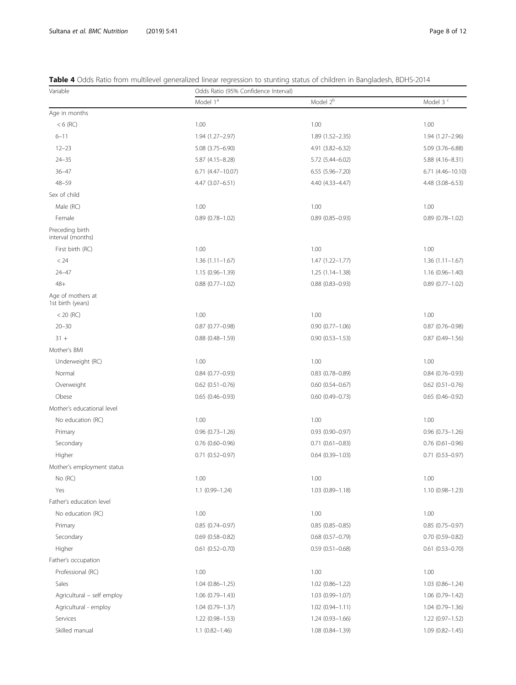<span id="page-7-0"></span>

| <b>Table 4</b> Odds Ratio from multilevel generalized linear regression to stunting status of children in Bangladesh, BDHS-2014 |  |  |
|---------------------------------------------------------------------------------------------------------------------------------|--|--|
|                                                                                                                                 |  |  |

| Variable                               | Odds Ratio (95% Confidence Interval) |                        |                        |
|----------------------------------------|--------------------------------------|------------------------|------------------------|
|                                        | Model 1 <sup>a</sup>                 | Model 2 <sup>b</sup>   | Model 3 <sup>c</sup>   |
| Age in months                          |                                      |                        |                        |
| $< 6$ (RC)                             | 1.00                                 | 1.00                   | 1.00                   |
| $6 - 11$                               | 1.94 (1.27-2.97)                     | $1.89(1.52 - 2.35)$    | 1.94 (1.27-2.96)       |
| $12 - 23$                              | 5.08 (3.75-6.90)                     | 4.91 (3.82-6.32)       | 5.09 (3.76-6.88)       |
| $24 - 35$                              | 5.87 (4.15-8.28)                     | 5.72 (5.44-6.02)       | $5.88(4.16 - 8.31)$    |
| $36 - 47$                              | 6.71 (4.47-10.07)                    | $6.55$ $(5.96 - 7.20)$ | $6.71(4.46 - 10.10)$   |
| $48 - 59$                              | 4.47 (3.07-6.51)                     | 4.40 (4.33-4.47)       | 4.48 (3.08-6.53)       |
| Sex of child                           |                                      |                        |                        |
| Male (RC)                              | 1.00                                 | 1.00                   | 1.00                   |
| Female                                 | $0.89(0.78 - 1.02)$                  | $0.89$ (0.85-0.93)     | $0.89(0.78 - 1.02)$    |
| Preceding birth<br>interval (months)   |                                      |                        |                        |
| First birth (RC)                       | 1.00                                 | 1.00                   | 1.00                   |
| < 24                                   | $1.36(1.11 - 1.67)$                  | $1.47(1.22 - 1.77)$    | $1.36(1.11 - 1.67)$    |
| $24 - 47$                              | $1.15(0.96 - 1.39)$                  | $1.25(1.14 - 1.38)$    | $1.16(0.96 - 1.40)$    |
| $48+$                                  | $0.88(0.77 - 1.02)$                  | $0.88(0.83 - 0.93)$    | $0.89(0.77 - 1.02)$    |
| Age of mothers at<br>1st birth (years) |                                      |                        |                        |
| $<$ 20 (RC)                            | 1.00                                 | 1.00                   | 1.00                   |
| $20 - 30$                              | $0.87(0.77 - 0.98)$                  | $0.90(0.77 - 1.06)$    | $0.87(0.76 - 0.98)$    |
| $31 +$                                 | $0.88(0.48 - 1.59)$                  | $0.90(0.53 - 1.53)$    | $0.87(0.49 - 1.56)$    |
| Mother's BMI                           |                                      |                        |                        |
| Underweight (RC)                       | 1.00                                 | 1.00                   | 1.00                   |
| Normal                                 | $0.84(0.77-0.93)$                    | $0.83$ $(0.78 - 0.89)$ | $0.84(0.76 - 0.93)$    |
| Overweight                             | $0.62$ $(0.51 - 0.76)$               | $0.60$ $(0.54 - 0.67)$ | $0.62$ (0.51-0.76)     |
| Obese                                  | $0.65(0.46 - 0.93)$                  | $0.60$ $(0.49 - 0.73)$ | $0.65(0.46 - 0.92)$    |
| Mother's educational level             |                                      |                        |                        |
| No education (RC)                      | 1.00                                 | 1.00                   | 1.00                   |
| Primary                                | $0.96(0.73 - 1.26)$                  | $0.93(0.90 - 0.97)$    | $0.96(0.73 - 1.26)$    |
| Secondary                              | $0.76(0.60 - 0.96)$                  | $0.71$ $(0.61 - 0.83)$ | $0.76$ $(0.61 - 0.96)$ |
| Higher                                 | $0.71(0.52 - 0.97)$                  | $0.64$ $(0.39 - 1.03)$ | $0.71$ $(0.53 - 0.97)$ |
| Mother's employment status             |                                      |                        |                        |
| No (RC)                                | 1.00                                 | 1.00                   | 1.00                   |
| Yes                                    | $1.1(0.99 - 1.24)$                   | $1.03(0.89 - 1.18)$    | $1.10(0.98 - 1.23)$    |
| Father's education level               |                                      |                        |                        |
| No education (RC)                      | 1.00                                 | 1.00                   | 1.00                   |
| Primary                                | $0.85(0.74 - 0.97)$                  | $0.85(0.85 - 0.85)$    | $0.85(0.75 - 0.97)$    |
| Secondary                              | $0.69(0.58 - 0.82)$                  | $0.68$ $(0.57 - 0.79)$ | $0.70$ $(0.59 - 0.82)$ |
| Higher                                 | $0.61$ $(0.52 - 0.70)$               | $0.59(0.51 - 0.68)$    | $0.61(0.53 - 0.70)$    |
| Father's occupation                    |                                      |                        |                        |
| Professional (RC)                      | 1.00                                 | 1.00                   | 1.00                   |
| Sales                                  | $1.04(0.86 - 1.25)$                  | $1.02(0.86 - 1.22)$    | $1.03(0.86 - 1.24)$    |
| Agricultural - self employ             | $1.06(0.79 - 1.43)$                  | 1.03 (0.99-1.07)       | $1.06(0.79 - 1.42)$    |
| Agricultural - employ                  | $1.04(0.79 - 1.37)$                  | $1.02(0.94 - 1.11)$    | $1.04(0.79 - 1.36)$    |
| Services                               | $1.22(0.98 - 1.53)$                  | 1.24 (0.93-1.66)       | $1.22(0.97 - 1.52)$    |
| Skilled manual                         | $1.1$ (0.82-1.46)                    | 1.08 (0.84-1.39)       | $1.09(0.82 - 1.45)$    |
|                                        |                                      |                        |                        |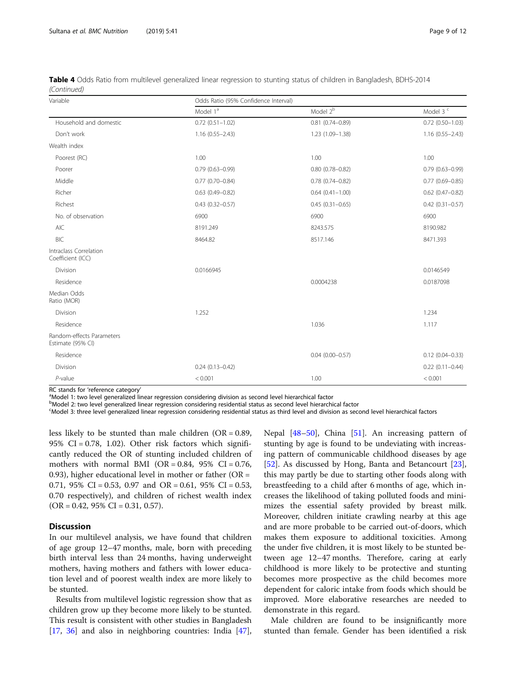| Variable                                       | Odds Ratio (95% Confidence Interval) |                        |                      |  |  |  |
|------------------------------------------------|--------------------------------------|------------------------|----------------------|--|--|--|
|                                                | Model 1ª                             | Model $2b$             | Model 3 <sup>c</sup> |  |  |  |
| Household and domestic                         | $0.72(0.51 - 1.02)$                  | $0.81$ $(0.74 - 0.89)$ | $0.72(0.50 - 1.03)$  |  |  |  |
| Don't work                                     | $1.16(0.55 - 2.43)$                  | 1.23 (1.09-1.38)       | $1.16(0.55 - 2.43)$  |  |  |  |
| Wealth index                                   |                                      |                        |                      |  |  |  |
| Poorest (RC)                                   | 1.00                                 | 1.00                   | 1.00                 |  |  |  |
| Poorer                                         | $0.79(0.63 - 0.99)$                  | $0.80(0.78 - 0.82)$    | $0.79(0.63 - 0.99)$  |  |  |  |
| Middle                                         | $0.77(0.70 - 0.84)$                  | $0.78$ $(0.74 - 0.82)$ | $0.77(0.69 - 0.85)$  |  |  |  |
| Richer                                         | $0.63(0.49 - 0.82)$                  | $0.64(0.41 - 1.00)$    | $0.62$ (0.47-0.82)   |  |  |  |
| Richest                                        | $0.43(0.32 - 0.57)$                  | $0.45(0.31 - 0.65)$    | $0.42(0.31 - 0.57)$  |  |  |  |
| No. of observation                             | 6900                                 | 6900                   | 6900                 |  |  |  |
| AIC                                            | 8191.249                             | 8243.575               | 8190.982             |  |  |  |
| <b>BIC</b>                                     | 8464.82                              | 8517.146               | 8471.393             |  |  |  |
| Intraclass Correlation<br>Coefficient (ICC)    |                                      |                        |                      |  |  |  |
| Division                                       | 0.0166945                            |                        | 0.0146549            |  |  |  |
| Residence                                      |                                      | 0.0004238              | 0.0187098            |  |  |  |
| Median Odds<br>Ratio (MOR)                     |                                      |                        |                      |  |  |  |
| Division                                       | 1.252                                |                        | 1.234                |  |  |  |
| Residence                                      |                                      | 1.036                  | 1.117                |  |  |  |
| Random-effects Parameters<br>Estimate (95% CI) |                                      |                        |                      |  |  |  |
| Residence                                      |                                      | $0.04(0.00 - 0.57)$    | $0.12(0.04 - 0.33)$  |  |  |  |
| Division                                       | $0.24(0.13 - 0.42)$                  |                        | $0.22(0.11 - 0.44)$  |  |  |  |
| $P$ -value                                     | < 0.001                              | 1.00                   | < 0.001              |  |  |  |

Table 4 Odds Ratio from multilevel generalized linear regression to stunting status of children in Bangladesh, BDHS-2014 (Continued)

RC stands for 'reference category'

<sup>a</sup>Model 1: two level generalized linear regression considering division as second level hierarchical factor

<sup>b</sup>Model 2: two level generalized linear regression considering residential status as second level hierarchical factor

c Model 3: three level generalized linear regression considering residential status as third level and division as second level hierarchical factors

less likely to be stunted than male children  $(OR = 0.89,$ 95% CI = 0.78, 1.02). Other risk factors which significantly reduced the OR of stunting included children of mothers with normal BMI (OR =  $0.84$ , 95% CI =  $0.76$ , 0.93), higher educational level in mother or father ( $OR =$ 0.71, 95% CI = 0.53, 0.97 and OR = 0.61, 95% CI = 0.53, 0.70 respectively), and children of richest wealth index  $(OR = 0.42, 95\% \text{ CI} = 0.31, 0.57).$ 

# Discussion

In our multilevel analysis, we have found that children of age group 12–47 months, male, born with preceding birth interval less than 24 months, having underweight mothers, having mothers and fathers with lower education level and of poorest wealth index are more likely to be stunted.

Results from multilevel logistic regression show that as children grow up they become more likely to be stunted. This result is consistent with other studies in Bangladesh [[17,](#page-10-0) [36](#page-10-0)] and also in neighboring countries: India [\[47](#page-11-0)],

Nepal  $[48-50]$  $[48-50]$  $[48-50]$  $[48-50]$  $[48-50]$ , China  $[51]$  $[51]$ . An increasing pattern of stunting by age is found to be undeviating with increasing pattern of communicable childhood diseases by age [[52\]](#page-11-0). As discussed by Hong, Banta and Betancourt [\[23](#page-10-0)], this may partly be due to starting other foods along with breastfeeding to a child after 6 months of age, which increases the likelihood of taking polluted foods and minimizes the essential safety provided by breast milk. Moreover, children initiate crawling nearby at this age and are more probable to be carried out-of-doors, which makes them exposure to additional toxicities. Among the under five children, it is most likely to be stunted between age 12–47 months. Therefore, caring at early childhood is more likely to be protective and stunting becomes more prospective as the child becomes more dependent for caloric intake from foods which should be improved. More elaborative researches are needed to demonstrate in this regard.

Male children are found to be insignificantly more stunted than female. Gender has been identified a risk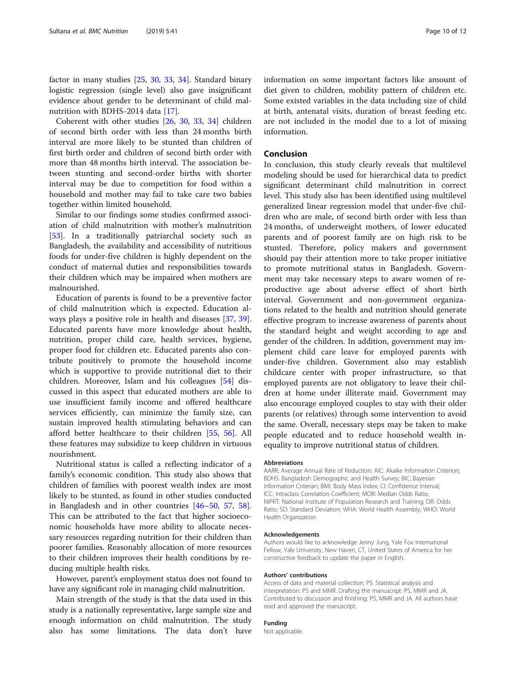factor in many studies [[25,](#page-10-0) [30,](#page-10-0) [33](#page-10-0), [34](#page-10-0)]. Standard binary logistic regression (single level) also gave insignificant evidence about gender to be determinant of child mal-nutrition with BDHS-2014 data [\[17\]](#page-10-0).

Coherent with other studies [[26,](#page-10-0) [30](#page-10-0), [33](#page-10-0), [34\]](#page-10-0) children of second birth order with less than 24 months birth interval are more likely to be stunted than children of first birth order and children of second birth order with more than 48 months birth interval. The association between stunting and second-order births with shorter interval may be due to competition for food within a household and mother may fail to take care two babies together within limited household.

Similar to our findings some studies confirmed association of child malnutrition with mother's malnutrition [[53\]](#page-11-0). In a traditionally patriarchal society such as Bangladesh, the availability and accessibility of nutritious foods for under-five children is highly dependent on the conduct of maternal duties and responsibilities towards their children which may be impaired when mothers are malnourished.

Education of parents is found to be a preventive factor of child malnutrition which is expected. Education always plays a positive role in health and diseases [\[37](#page-10-0), [39](#page-10-0)]. Educated parents have more knowledge about health, nutrition, proper child care, health services, hygiene, proper food for children etc. Educated parents also contribute positively to promote the household income which is supportive to provide nutritional diet to their children. Moreover, Islam and his colleagues [\[54](#page-11-0)] discussed in this aspect that educated mothers are able to use insufficient family income and offered healthcare services efficiently, can minimize the family size, can sustain improved health stimulating behaviors and can afford better healthcare to their children [\[55](#page-11-0), [56](#page-11-0)]. All these features may subsidize to keep children in virtuous nourishment.

Nutritional status is called a reflecting indicator of a family's economic condition. This study also shows that children of families with poorest wealth index are most likely to be stunted, as found in other studies conducted in Bangladesh and in other countries [[46](#page-11-0)–[50](#page-11-0), [57](#page-11-0), [58](#page-11-0)]. This can be attributed to the fact that higher socioeconomic households have more ability to allocate necessary resources regarding nutrition for their children than poorer families. Reasonably allocation of more resources to their children improves their health conditions by reducing multiple health risks.

However, parent's employment status does not found to have any significant role in managing child malnutrition.

Main strength of the study is that the data used in this study is a nationally representative, large sample size and enough information on child malnutrition. The study also has some limitations. The data don't have information on some important factors like amount of diet given to children, mobility pattern of children etc. Some existed variables in the data including size of child at birth, antenatal visits, duration of breast feeding etc. are not included in the model due to a lot of missing information.

# Conclusion

In conclusion, this study clearly reveals that multilevel modeling should be used for hierarchical data to predict significant determinant child malnutrition in correct level. This study also has been identified using multilevel generalized linear regression model that under-five children who are male, of second birth order with less than 24 months, of underweight mothers, of lower educated parents and of poorest family are on high risk to be stunted. Therefore, policy makers and government should pay their attention more to take proper initiative to promote nutritional status in Bangladesh. Government may take necessary steps to aware women of reproductive age about adverse effect of short birth interval. Government and non-government organizations related to the health and nutrition should generate effective program to increase awareness of parents about the standard height and weight according to age and gender of the children. In addition, government may implement child care leave for employed parents with under-five children. Government also may establish childcare center with proper infrastructure, so that employed parents are not obligatory to leave their children at home under illiterate maid. Government may also encourage employed couples to stay with their older parents (or relatives) through some intervention to avoid the same. Overall, necessary steps may be taken to make people educated and to reduce household wealth inequality to improve nutritional status of children.

#### Abbreviations

AARR: Average Annual Rate of Reduction; AIC: Akaike Information Criterion; BDHS: Bangladesh Demographic and Health Survey; BIC: Bayesian Information Criterian; BMI: Body Mass Index; CI: Confidence Interval; ICC: Intraclass Correlation Coefficient; MOR: Median Odds Ratio; NIPRT: National Institute of Population Research and Training; OR: Odds Ratio; SD: Standard Deviation; WHA: World Health Assembly; WHO: World Health Organization

# Acknowledgements

Authors would like to acknowledge Jenny Jung, Yale Fox International Fellow, Yale University, New Haven, CT, United States of America for her constructive feedback to update the paper in English.

#### Authors' contributions

Access of data and material collection: PS. Statistical analysis and interpretation: PS and MMR. Drafting the manuscript: PS, MMR and JA. Contributed to discussion and finishing: PS, MMR and JA. All authors have read and approved the manuscript.

# Funding

Not applicable.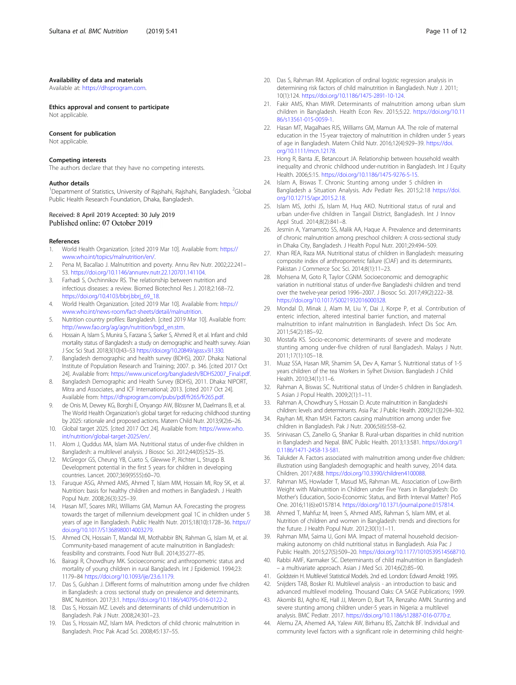#### <span id="page-10-0"></span>Availability of data and materials

Available at: <https://dhsprogram.com>.

#### Ethics approval and consent to participate

Not applicable.

# Consent for publication

Not applicable.

# Competing interests

The authors declare that they have no competing interests.

#### Author details

<sup>1</sup>Department of Statistics, University of Rajshahi, Rajshahi, Bangladesh. <sup>2</sup>Global Public Health Research Foundation, Dhaka, Bangladesh.

### Received: 8 April 2019 Accepted: 30 July 2019 Published online: 07 October 2019

#### References

- 1. World Health Organization. [cited 2019 Mar 10]. Available from: [https://](https://www.who.int/topics/malnutrition/en/) [www.who.int/topics/malnutrition/en/](https://www.who.int/topics/malnutrition/en/).
- 2. Pena M, Bacallao J. Malnutrition and poverty. Annu Rev Nutr. 2002;22:241– 53. <https://doi.org/10.1146/annurev.nutr.22.120701.141104>.
- 3. Farhadi S, Ovchinnikov RS. The relationship between nutrition and infectious diseases: a review. Biomed Biotechnol Res J. 2018;2:168–72. [https://doi.org/10.4103/bbrj.bbrj\\_69\\_18](https://doi.org/10.4103/bbrj.bbrj_69_18).
- 4. World Health Organization. [cited 2019 Mar 10]. Available from: [https://](https://www.who.int/news-room/fact-sheets/detail/malnutrition) [www.who.int/news-room/fact-sheets/detail/malnutrition.](https://www.who.int/news-room/fact-sheets/detail/malnutrition)
- 5. Nutrition country profiles: Bangladesh. [cited 2019 Mar 10]. Available from: [http://www.fao.org/ag/agn/nutrition/bgd\\_en.stm](http://www.fao.org/ag/agn/nutrition/bgd_en.stm).
- 6. Hossain A, Islam S, Munira S, Farzana S, Sarker S, Ahmed R, et al. Infant and child mortality status of Bangladesh: a study on demographic and health survey. Asian J Soc Sci Stud. 2018;3(10):43–53 [https://doi.org/10.20849/ajsss.v3i1.330.](https://doi.org/10.20849/ajsss.v3i1.330)
- 7. Bangladesh demographic and health survey (BDHS), 2007. Dhaka: National Institute of Population Research and Training; 2007. p. 346. [cited 2017 Oct 24]. Available from: [https://www.unicef.org/bangladesh/BDHS2007\\_Final.pdf.](https://www.unicef.org/bangladesh/BDHS2007_Final.pdf)
- 8. Bangladesh Demographic and Health Survey (BDHS), 2011. Dhaka: NIPORT, Mitra and Associates, and ICF International; 2013. [cited 2017 Oct 24]. Available from: [https://dhsprogram.com/pubs/pdf/fr265/fr265.pdf.](https://dhsprogram.com/pubs/pdf/fr265/fr265.pdf)
- 9. de Onis M, Dewey KG, Borghi E, Onyango AW, Blössner M, Daelmans B, et al. The World Health Organization's global target for reducing childhood stunting by 2025: rationale and proposed actions. Matern Child Nutr. 2013;9(2):6–26.
- 10. Global target 2025. [cited 2017 Oct 24]. Available from: [https://www.who.](https://www.who.int/nutrition/global-target-2025/en/) [int/nutrition/global-target-2025/en/.](https://www.who.int/nutrition/global-target-2025/en/)
- 11. Alom J, Quddus MA, Islam MA. Nutritional status of under-five children in Bangladesh: a multilevel analysis. J Biosoc Sci. 2012;44(05):525–35.
- 12. McGregor GS, Cheung YB, Cueto S, Glewwe P, Richter L, Strupp B. Development potential in the first 5 years for children in developing countries. Lancet. 2007;369(9555):60–70.
- 13. Faruque ASG, Ahmed AMS, Ahmed T, Islam MM, Hossain MI, Roy SK, et al. Nutrition: basis for healthy children and mothers in Bangladesh. J Health Popul Nutr. 2008;26(3):325–39.
- 14. Hasan MT, Soares MRJ, Williams GM, Mamun AA. Forecasting the progress towards the target of millennium development goal 1C in children under 5 years of age in Bangladesh. Public Health Nutr. 2015;18(10):1728–36. [https://](https://doi.org/10.1017/S1368980014003279) [doi.org/10.1017/S1368980014003279](https://doi.org/10.1017/S1368980014003279).
- 15. Ahmed CN, Hossain T, Mandal MI, Mothabbir BN, Rahman G, Islam M, et al. Community-based management of acute malnutrition in Bangladesh: feasibility and constraints. Food Nutr Bull. 2014;35:277–85.
- 16. Bairagi R, Chowdhury MK. Socioeconomic and anthropometric status and mortality of young children in rural Bangladesh. Int J Epidemiol. 1994;23: 1179–84 <https://doi.org/10.1093/ije/23.6.1179>.
- 17. Das S, Gulshan J. Different forms of malnutrition among under five children in Bangladesh: a cross sectional study on prevalence and determinants. BMC Nutrition. 2017;3:1. [https://doi.org/10.1186/s40795-016-0122-2.](https://doi.org/10.1186/s40795-016-0122-2)
- 18. Das S, Hossain MZ. Levels and determinants of child undernutrition in Bangladesh. Pak J Nutr. 2008;24:301–23.
- 19. Das S, Hossain MZ, Islam MA. Predictors of child chronic malnutrition in Bangladesh. Proc Pak Acad Sci. 2008;45:137–55.
- 20. Das S, Rahman RM. Application of ordinal logistic regression analysis in determining risk factors of child malnutrition in Bangladesh. Nutr J. 2011; 10(1):124. <https://doi.org/10.1186/1475-2891-10-124>.
- 21. Fakir AMS, Khan MWR. Determinants of malnutrition among urban slum children in Bangladesh. Health Econ Rev. 2015;5:22. [https://doi.org/10.11](https://doi.org/10.1186/s13561-015-0059-1) [86/s13561-015-0059-1.](https://doi.org/10.1186/s13561-015-0059-1)
- 22. Hasan MT, Magalhaes RJS, Williams GM, Mamun AA. The role of maternal education in the 15-year trajectory of malnutrition in children under 5 years of age in Bangladesh. Matern Child Nutr. 2016;12(4):929–39. [https://doi.](https://doi.org/10.1111/mcn.12178) [org/10.1111/mcn.12178.](https://doi.org/10.1111/mcn.12178)
- 23. Hong R, Banta JE, Betancourt JA. Relationship between household wealth inequality and chronic childhood under-nutrition in Bangladesh. Int J Equity Health. 2006;5:15. <https://doi.org/10.1186/1475-9276-5-15>.
- 24. Islam A, Biswas T. Chronic Stunting among under 5 children in Bangladesh a Situation Analysis. Adv Pediatr Res. 2015;2:18 [https://doi.](https://doi.org/10.12715/apr.2015.2.18) [org/10.12715/apr.2015.2.18](https://doi.org/10.12715/apr.2015.2.18).
- 25. Islam MS, Jothi JS, Islam M, Huq AKO. Nutritional status of rural and urban under-five children in Tangail District, Bangladesh. Int J Innov Appl Stud. 2014;8(2):841–8.
- 26. Jesmin A, Yamamoto SS, Malik AA, Haque A. Prevalence and determinants of chronic malnutrition among preschool children: A cross-sectional study in Dhaka City, Bangladesh. J Health Popul Nutr. 2001;29:494–509.
- 27. Khan REA, Raza MA. Nutritional status of children in Bangladesh: measuring composite index of anthropometric failure (CIAF) and its determinants. Pakistan J Commerce Soc Sci. 2014;8(1):11–23.
- 28. Mohsena M, Goto R, Taylor CGNM. Socioeconomic and demographic variation in nutritional status of under-five Bangladeshi children and trend over the twelve-year period 1996–2007. J Biosoc Sci. 2017;49(2):222–38. [https://doi.org/10.1017/S0021932016000328.](https://doi.org/10.1017/S0021932016000328)
- 29. Mondal D, Minak J, Alam M, Liu Y, Dai J, Korpe P, et al. Contribution of enteric infection, altered intestinal barrier function, and maternal malnutrition to infant malnutrition in Bangladesh. Infect Dis Soc Am. 2011;54(2):185–92.
- 30. Mostafa KS. Socio-economic determinants of severe and moderate stunting among under-five children of rural Bangladesh. Malays J Nutr. 2011;17(1):105–18.
- 31. Muaz SSA, Hasan MR, Shamim SA, Dev A, Kamar S. Nutritional status of 1-5 years children of the tea Workers in Sylhet Division. Bangladesh J Child Health. 2010;34(1):11–6.
- 32. Rahman A, Biswas SC. Nutritional status of Under-5 children in Bangladesh. S Asian J Popul Health. 2009;2(1):1–11.
- 33. Rahman A, Chowdhury S, Hossain D. Acute malnutrition in Bangladeshi children: levels and determinants. Asia Pac J Public Health. 2009;21(3):294–302.
- 34. Rayhan MI, Khan MSH. Factors causing malnutrition among under five children in Bangladesh. Pak J Nutr. 2006;5(6):558–62.
- 35. Srinivasan CS, Zanello G, Shankar B. Rural-urban disparities in child nutrition in Bangladesh and Nepal. BMC Public Health. 2013;13:581. [https://doi.org/1](https://doi.org/10.1186/1471-2458-13-581) [0.1186/1471-2458-13-581](https://doi.org/10.1186/1471-2458-13-581).
- 36. Talukder A. Factors associated with malnutrition among under-five children: illustration using Bangladesh demographic and health survey, 2014 data. Children. 2017;4:88. [https://doi.org/10.3390/children4100088.](https://doi.org/10.3390/children4100088)
- Rahman MS, Howlader T, Masud MS, Rahman ML. Association of Low-Birth Weight with Malnutrition in Children under Five Years in Bangladesh: Do Mother's Education, Socio-Economic Status, and Birth Interval Matter? PloS One. 2016;11(6):e0157814. <https://doi.org/10.1371/journal.pone.0157814>.
- 38. Ahmed T, Mahfuz M, Ireen S, Ahmed AMS, Rahman S, Islam MM, et al. Nutrition of children and women in Bangladesh: trends and directions for the future. J Health Popul Nutr. 2012;30(1):1–11.
- 39. Rahman MM, Saima U, Goni MA. Impact of maternal household decisionmaking autonomy on child nutritional status in Bangladesh. Asia Pac J Public Health. 2015;27(5):509–20. [https://doi.org/10.1177/1010539514568710.](https://doi.org/10.1177/1010539514568710)
- 40. Rabbi AMF, Karmaker SC. Determinants of child malnutrition in Bangladesh – a multivariate approach. Asian J Med Sci. 2014;6(2):85–90.
- 41. Goldstein H. Multilevel Statistical Models. 2nd ed. London: Edward Arnold; 1995.
- 42. Snijders TAB, Bosker RJ. Multilevel analysis an introduction to basic and advanced multilevel modeling. Thousand Oaks: CA SAGE Publications; 1999.
- 43. Akombi BJ, Agho KE, Hall JJ, Merom D, Burt TA, Renzaho AMN. Stunting and severe stunting among children under-5 years in Nigeria: a multilevel analysis. BMC Pediatr. 2017. [https://doi.org/10.1186/s12887-016-0770-z.](https://doi.org/10.1186/s12887-016-0770-z)
- 44. Alemu ZA, Ahemed AA, Yalew AW, Birhanu BS, Zaitchik BF. Individual and community level factors with a significant role in determining child height-